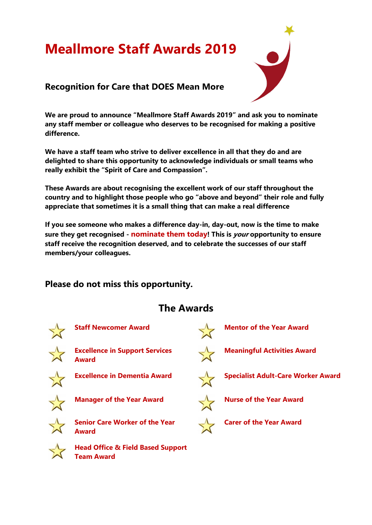# **Meallmore Staff Awards 2019**



#### **Recognition for Care that DOES Mean More**

**We are proud to announce "Meallmore Staff Awards 2019" and ask you to nominate any staff member or colleague who deserves to be recognised for making a positive difference.**

**We have a staff team who strive to deliver excellence in all that they do and are delighted to share this opportunity to acknowledge individuals or small teams who really exhibit the "Spirit of Care and Compassion".** 

**These Awards are about recognising the excellent work of our staff throughout the country and to highlight those people who go "above and beyond" their role and fully appreciate that sometimes it is a small thing that can make a real difference**

**If you see someone who makes a difference day-in, day-out, now is the time to make sure they get recognised - nominate them today! This is your opportunity to ensure staff receive the recognition deserved, and to celebrate the successes of our staff members/your colleagues.**

### **Please do not miss this opportunity.**

## **The Awards**





**Head Office & Field Based Support Team Award**